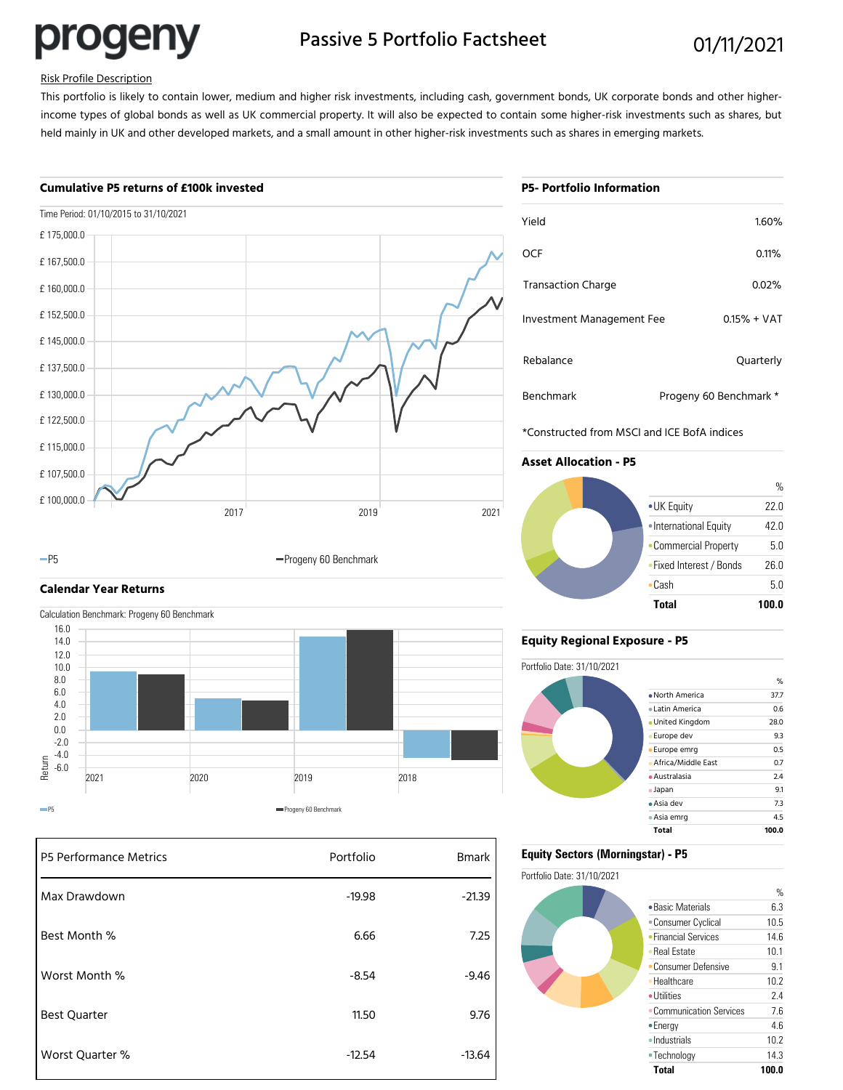progeny

# Passive 5 Portfolio Factsheet 01/11/2021

#### Risk Profile Description

This portfolio is likely to contain lower, medium and higher risk investments, including cash, government bonds, UK corporate bonds and other higherincome types of global bonds as well as UK commercial property. It will also be expected to contain some higher-risk investments such as shares, but held mainly in UK and other developed markets, and a small amount in other higher-risk investments such as shares in emerging markets.

#### **Cumulative P5 returns of £100k invested**



-P5 **Progeny 60 Benchmark** 

#### **Calendar Year Returns**

Calculation Benchmark: Progeny 60 Benchmark



| P5 Performance Metrics | Portfolio | <b>Bmark</b> |
|------------------------|-----------|--------------|
| Max Drawdown           | $-19.98$  | $-21.39$     |
| Best Month %           | 6.66      | 7.25         |
| Worst Month %          | $-8.54$   | $-9.46$      |
| <b>Best Quarter</b>    | 11.50     | 9.76         |
| Worst Quarter %        | $-12.54$  | $-13.64$     |

## **P5- Portfolio Information**

| Yield                     | 1.60%                  |
|---------------------------|------------------------|
| OCF                       | 0.11%                  |
| <b>Transaction Charge</b> | 0.02%                  |
| Investment Management Fee | $0.15% + VAT$          |
| Rebalance                 | Quarterly              |
| <b>Benchmark</b>          | Progeny 60 Benchmark * |

\*Constructed from MSCI and ICE BofA indices

#### **Asset Allocation - P5**



#### **Equity Regional Exposure - P5**



#### **Equity Sectors (Morningstar) - P5**